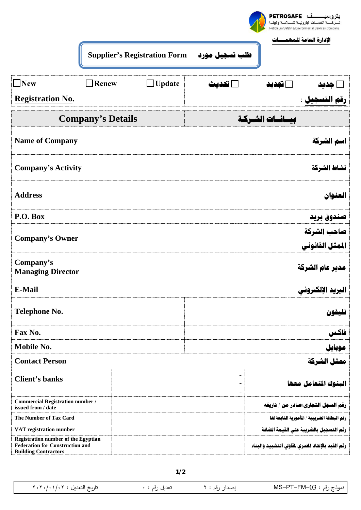

 **الإدارة العامة للمهمــــات** 

| طلب تسجيل مورد     Supplier's Registration Form |  |
|-------------------------------------------------|--|

| New<br>                 | <b>Renew</b> | <b>pdate</b> | $\bullet\bullet$ | $\bullet\bullet$ | $\bullet\bullet$ |
|-------------------------|--------------|--------------|------------------|------------------|------------------|
| <b>Registration No.</b> |              |              |                  |                  | $\rightarrow$    |

| <b>Company's Details</b>                                                                                            |                                              | بيسانسات الشىركىة |  |                                                   |
|---------------------------------------------------------------------------------------------------------------------|----------------------------------------------|-------------------|--|---------------------------------------------------|
| <b>Name of Company</b>                                                                                              |                                              |                   |  | اسم الشركة                                        |
| <b>Company's Activity</b>                                                                                           |                                              |                   |  | نشاط الشركة                                       |
| <b>Address</b>                                                                                                      |                                              |                   |  | العنوان                                           |
| P.O. Box                                                                                                            |                                              |                   |  | صغدوق بريد                                        |
| <b>Company's Owner</b>                                                                                              |                                              |                   |  | صاحب الشركة<br>المثل القانونى                     |
| Company's<br><b>Managing Director</b>                                                                               |                                              |                   |  | مدير عام الشركة                                   |
| E-Mail                                                                                                              |                                              |                   |  | البريد الإلكترونى                                 |
| <b>Telephone No.</b>                                                                                                |                                              |                   |  | تليفون                                            |
| Fax No.                                                                                                             |                                              |                   |  | فاكس                                              |
| <b>Mobile No.</b>                                                                                                   |                                              |                   |  | موبايل                                            |
| <b>Contact Person</b>                                                                                               |                                              |                   |  | ممثل الشركة                                       |
| Client's banks                                                                                                      |                                              |                   |  | البنوك المتعامل معها                              |
| <b>Commercial Registration number /</b><br>issued from / date                                                       |                                              |                   |  | رقم السجل التجارى/صادر من / تاريخه                |
| The Number of Tax Card                                                                                              | رقم البطاقة الضريبية / المأمورية التابعة لفا |                   |  |                                                   |
| VAT registration number                                                                                             | رقم التسجيل بالضريبة على القيمة الضافة       |                   |  |                                                   |
| <b>Registration number of the Egyptian</b><br><b>Federation for Construction and</b><br><b>Building Contractors</b> |                                              |                   |  | رقم القيد بالإتحاد المصرى لمقاولى التشييد والبناء |